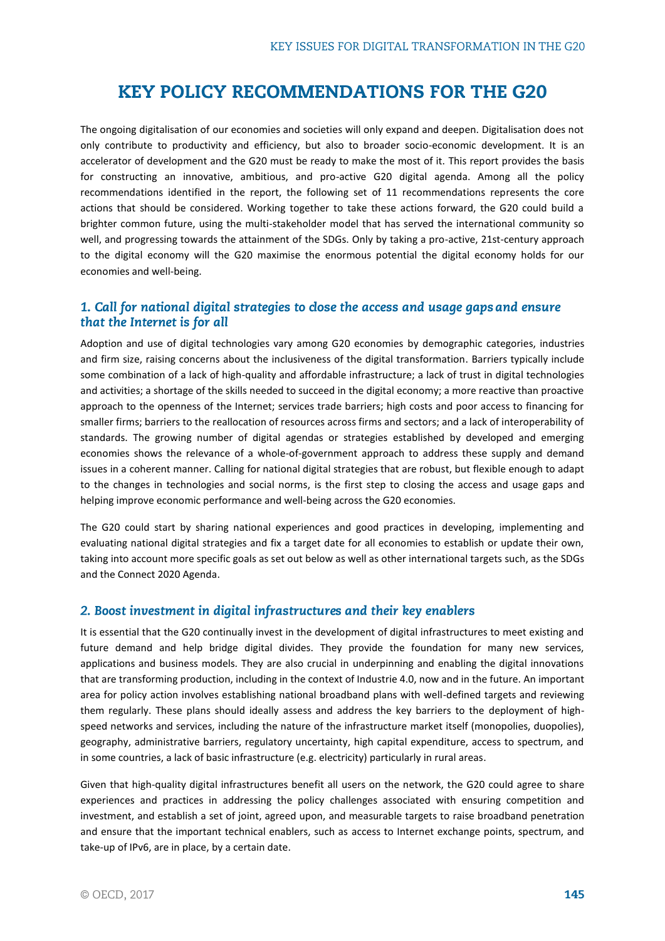# **KEY POLICY RECOMMENDATIONS FOR THE G20**

The ongoing digitalisation of our economies and societies will only expand and deepen. Digitalisation does not only contribute to productivity and efficiency, but also to broader socio-economic development. It is an accelerator of development and the G20 must be ready to make the most of it. This report provides the basis for constructing an innovative, ambitious, and pro-active G20 digital agenda. Among all the policy recommendations identified in the report, the following set of 11 recommendations represents the core actions that should be considered. Working together to take these actions forward, the G20 could build a brighter common future, using the multi-stakeholder model that has served the international community so well, and progressing towards the attainment of the SDGs. Only by taking a pro-active, 21st-century approach to the digital economy will the G20 maximise the enormous potential the digital economy holds for our economies and well-being.

## 1. Call for national digital strategies to close the access and usage gaps and ensure that the Internet is for all

Adoption and use of digital technologies vary among G20 economies by demographic categories, industries and firm size, raising concerns about the inclusiveness of the digital transformation. Barriers typically include some combination of a lack of high-quality and affordable infrastructure; a lack of trust in digital technologies and activities; a shortage of the skills needed to succeed in the digital economy; a more reactive than proactive approach to the openness of the Internet; services trade barriers; high costs and poor access to financing for smaller firms; barriers to the reallocation of resources across firms and sectors; and a lack of interoperability of standards. The growing number of digital agendas or strategies established by developed and emerging economies shows the relevance of a whole-of-government approach to address these supply and demand issues in a coherent manner. Calling for national digital strategies that are robust, but flexible enough to adapt to the changes in technologies and social norms, is the first step to closing the access and usage gaps and helping improve economic performance and well-being across the G20 economies.

The G20 could start by sharing national experiences and good practices in developing, implementing and evaluating national digital strategies and fix a target date for all economies to establish or update their own, taking into account more specific goals as set out below as well as other international targets such, as the SDGs and the Connect 2020 Agenda.

#### 2. Boost investment in digital infrastructures and their key enablers

It is essential that the G20 continually invest in the development of digital infrastructures to meet existing and future demand and help bridge digital divides. They provide the foundation for many new services, applications and business models. They are also crucial in underpinning and enabling the digital innovations that are transforming production, including in the context of Industrie 4.0, now and in the future. An important area for policy action involves establishing national broadband plans with well-defined targets and reviewing them regularly. These plans should ideally assess and address the key barriers to the deployment of highspeed networks and services, including the nature of the infrastructure market itself (monopolies, duopolies), geography, administrative barriers, regulatory uncertainty, high capital expenditure, access to spectrum, and in some countries, a lack of basic infrastructure (e.g. electricity) particularly in rural areas.

Given that high-quality digital infrastructures benefit all users on the network, the G20 could agree to share experiences and practices in addressing the policy challenges associated with ensuring competition and investment, and establish a set of joint, agreed upon, and measurable targets to raise broadband penetration and ensure that the important technical enablers, such as access to Internet exchange points, spectrum, and take-up of IPv6, are in place, by a certain date.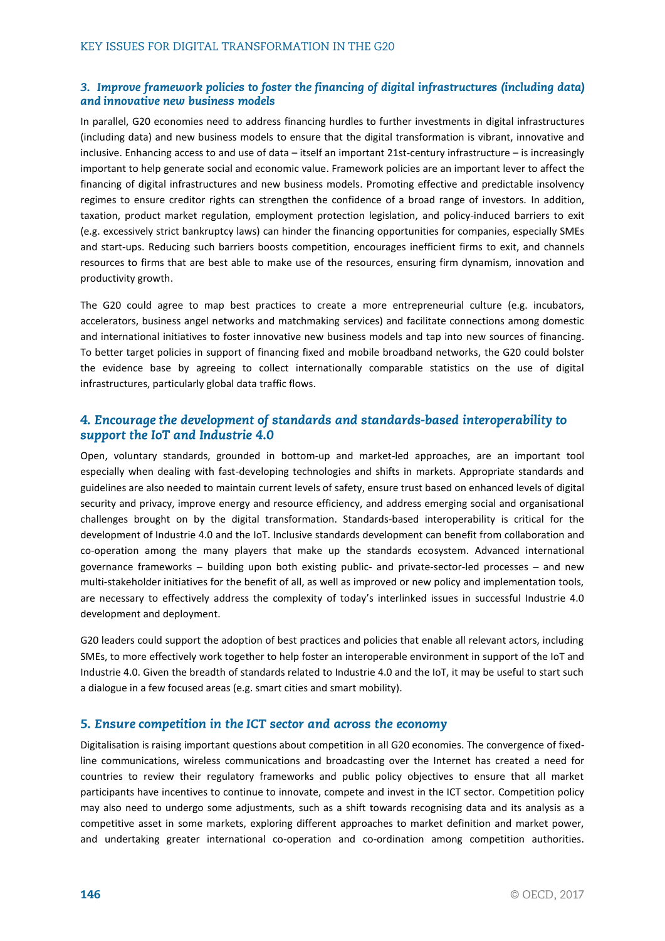#### 3. Improve framework policies to foster the financing of digital infrastructures (including data) and innovative new business models

In parallel, G20 economies need to address financing hurdles to further investments in digital infrastructures (including data) and new business models to ensure that the digital transformation is vibrant, innovative and inclusive. Enhancing access to and use of data – itself an important 21st-century infrastructure – is increasingly important to help generate social and economic value. Framework policies are an important lever to affect the financing of digital infrastructures and new business models. Promoting effective and predictable insolvency regimes to ensure creditor rights can strengthen the confidence of a broad range of investors. In addition, taxation, product market regulation, employment protection legislation, and policy-induced barriers to exit (e.g. excessively strict bankruptcy laws) can hinder the financing opportunities for companies, especially SMEs and start-ups. Reducing such barriers boosts competition, encourages inefficient firms to exit, and channels resources to firms that are best able to make use of the resources, ensuring firm dynamism, innovation and productivity growth.

The G20 could agree to map best practices to create a more entrepreneurial culture (e.g. incubators, accelerators, business angel networks and matchmaking services) and facilitate connections among domestic and international initiatives to foster innovative new business models and tap into new sources of financing. To better target policies in support of financing fixed and mobile broadband networks, the G20 could bolster the evidence base by agreeing to collect internationally comparable statistics on the use of digital infrastructures, particularly global data traffic flows.

## 4. Encourage the development of standards and standards-based interoperability to support the IoT and Industrie 4.0

Open, voluntary standards, grounded in bottom-up and market-led approaches, are an important tool especially when dealing with fast-developing technologies and shifts in markets. Appropriate standards and guidelines are also needed to maintain current levels of safety, ensure trust based on enhanced levels of digital security and privacy, improve energy and resource efficiency, and address emerging social and organisational challenges brought on by the digital transformation. Standards-based interoperability is critical for the development of Industrie 4.0 and the IoT. Inclusive standards development can benefit from collaboration and co-operation among the many players that make up the standards ecosystem. Advanced international governance frameworks  $-$  building upon both existing public- and private-sector-led processes  $-$  and new multi-stakeholder initiatives for the benefit of all, as well as improved or new policy and implementation tools, are necessary to effectively address the complexity of today's interlinked issues in successful Industrie 4.0 development and deployment.

G20 leaders could support the adoption of best practices and policies that enable all relevant actors, including SMEs, to more effectively work together to help foster an interoperable environment in support of the IoT and Industrie 4.0. Given the breadth of standards related to Industrie 4.0 and the IoT, it may be useful to start such a dialogue in a few focused areas (e.g. smart cities and smart mobility).

## 5. Ensure competition in the ICT sector and across the economy

Digitalisation is raising important questions about competition in all G20 economies. The convergence of fixedline communications, wireless communications and broadcasting over the Internet has created a need for countries to review their regulatory frameworks and public policy objectives to ensure that all market participants have incentives to continue to innovate, compete and invest in the ICT sector. Competition policy may also need to undergo some adjustments, such as a shift towards recognising data and its analysis as a competitive asset in some markets, exploring different approaches to market definition and market power, and undertaking greater international co-operation and co-ordination among competition authorities.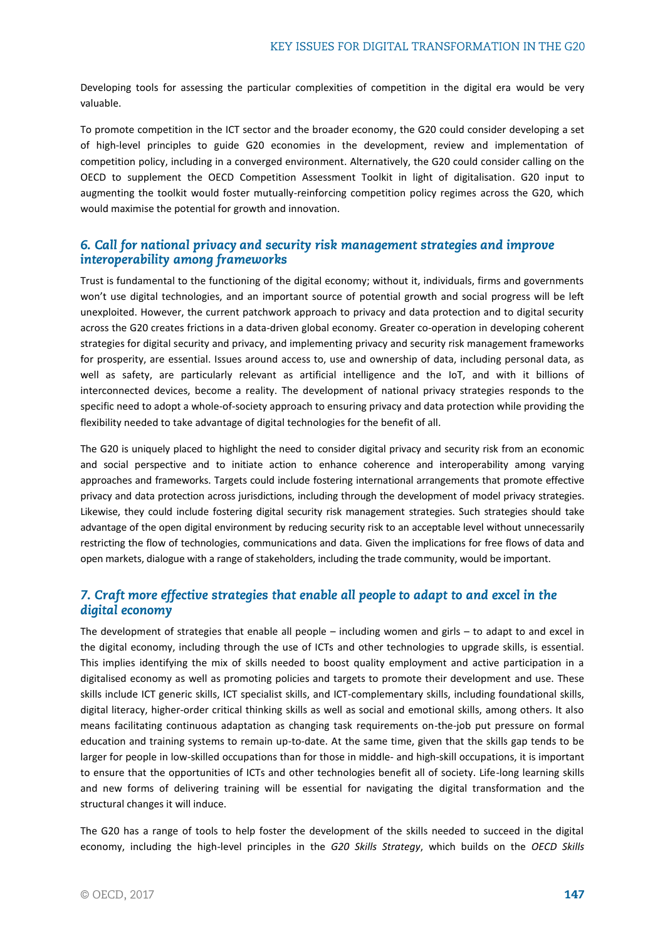Developing tools for assessing the particular complexities of competition in the digital era would be very valuable.

To promote competition in the ICT sector and the broader economy, the G20 could consider developing a set of high-level principles to guide G20 economies in the development, review and implementation of competition policy, including in a converged environment. Alternatively, the G20 could consider calling on the OECD to supplement the OECD Competition Assessment Toolkit in light of digitalisation. G20 input to augmenting the toolkit would foster mutually-reinforcing competition policy regimes across the G20, which would maximise the potential for growth and innovation.

## 6. Call for national privacy and security risk management strategies and improve interoperability among frameworks

Trust is fundamental to the functioning of the digital economy; without it, individuals, firms and governments won't use digital technologies, and an important source of potential growth and social progress will be left unexploited. However, the current patchwork approach to privacy and data protection and to digital security across the G20 creates frictions in a data-driven global economy. Greater co-operation in developing coherent strategies for digital security and privacy, and implementing privacy and security risk management frameworks for prosperity, are essential. Issues around access to, use and ownership of data, including personal data, as well as safety, are particularly relevant as artificial intelligence and the IoT, and with it billions of interconnected devices, become a reality. The development of national privacy strategies responds to the specific need to adopt a whole-of-society approach to ensuring privacy and data protection while providing the flexibility needed to take advantage of digital technologies for the benefit of all.

The G20 is uniquely placed to highlight the need to consider digital privacy and security risk from an economic and social perspective and to initiate action to enhance coherence and interoperability among varying approaches and frameworks. Targets could include fostering international arrangements that promote effective privacy and data protection across jurisdictions, including through the development of model privacy strategies. Likewise, they could include fostering digital security risk management strategies. Such strategies should take advantage of the open digital environment by reducing security risk to an acceptable level without unnecessarily restricting the flow of technologies, communications and data. Given the implications for free flows of data and open markets, dialogue with a range of stakeholders, including the trade community, would be important.

# 7. Craft more effective strategies that enable all people to adapt to and excel in the digital economy

The development of strategies that enable all people – including women and girls – to adapt to and excel in the digital economy, including through the use of ICTs and other technologies to upgrade skills, is essential. This implies identifying the mix of skills needed to boost quality employment and active participation in a digitalised economy as well as promoting policies and targets to promote their development and use. These skills include ICT generic skills, ICT specialist skills, and ICT-complementary skills, including foundational skills, digital literacy, higher-order critical thinking skills as well as social and emotional skills, among others. It also means facilitating continuous adaptation as changing task requirements on-the-job put pressure on formal education and training systems to remain up-to-date. At the same time, given that the skills gap tends to be larger for people in low-skilled occupations than for those in middle- and high-skill occupations, it is important to ensure that the opportunities of ICTs and other technologies benefit all of society. Life-long learning skills and new forms of delivering training will be essential for navigating the digital transformation and the structural changes it will induce.

The G20 has a range of tools to help foster the development of the skills needed to succeed in the digital economy, including the high-level principles in the *G20 Skills Strategy*, which builds on the *OECD Skills*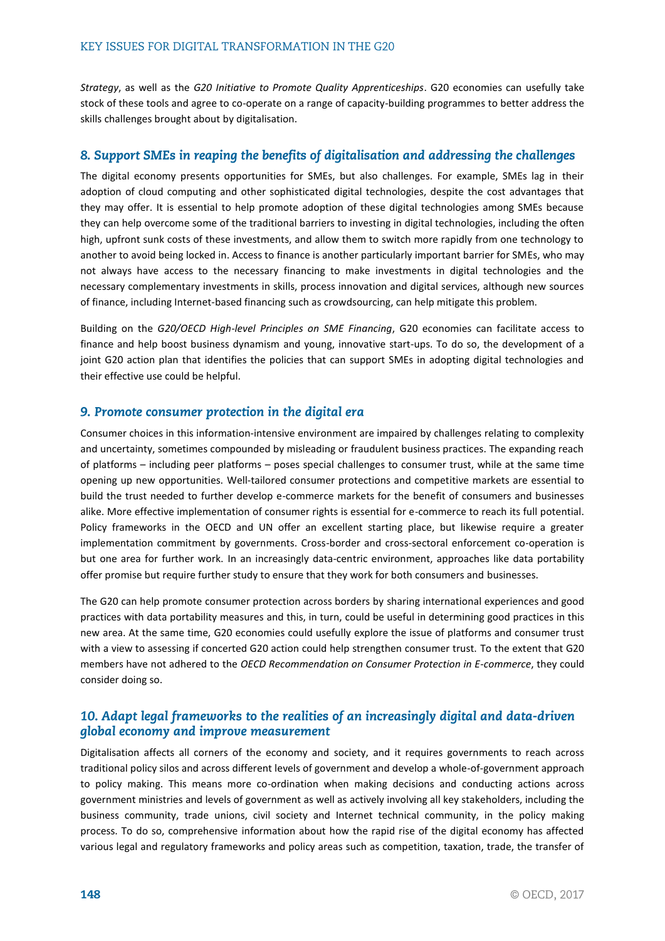*Strategy*, as well as the *G20 Initiative to Promote Quality Apprenticeships*. G20 economies can usefully take stock of these tools and agree to co-operate on a range of capacity-building programmes to better address the skills challenges brought about by digitalisation.

## 8. Support SMEs in reaping the benefits of digitalisation and addressing the challenges

The digital economy presents opportunities for SMEs, but also challenges. For example, SMEs lag in their adoption of cloud computing and other sophisticated digital technologies, despite the cost advantages that they may offer. It is essential to help promote adoption of these digital technologies among SMEs because they can help overcome some of the traditional barriers to investing in digital technologies, including the often high, upfront sunk costs of these investments, and allow them to switch more rapidly from one technology to another to avoid being locked in. Access to finance is another particularly important barrier for SMEs, who may not always have access to the necessary financing to make investments in digital technologies and the necessary complementary investments in skills, process innovation and digital services, although new sources of finance, including Internet-based financing such as crowdsourcing, can help mitigate this problem.

Building on the *G20/OECD High-level Principles on SME Financing*, G20 economies can facilitate access to finance and help boost business dynamism and young, innovative start-ups. To do so, the development of a joint G20 action plan that identifies the policies that can support SMEs in adopting digital technologies and their effective use could be helpful.

#### 9. Promote consumer protection in the digital era

Consumer choices in this information-intensive environment are impaired by challenges relating to complexity and uncertainty, sometimes compounded by misleading or fraudulent business practices. The expanding reach of platforms – including peer platforms – poses special challenges to consumer trust, while at the same time opening up new opportunities. Well-tailored consumer protections and competitive markets are essential to build the trust needed to further develop e-commerce markets for the benefit of consumers and businesses alike. More effective implementation of consumer rights is essential for e-commerce to reach its full potential. Policy frameworks in the OECD and UN offer an excellent starting place, but likewise require a greater implementation commitment by governments. Cross-border and cross-sectoral enforcement co-operation is but one area for further work. In an increasingly data-centric environment, approaches like data portability offer promise but require further study to ensure that they work for both consumers and businesses.

The G20 can help promote consumer protection across borders by sharing international experiences and good practices with data portability measures and this, in turn, could be useful in determining good practices in this new area. At the same time, G20 economies could usefully explore the issue of platforms and consumer trust with a view to assessing if concerted G20 action could help strengthen consumer trust. To the extent that G20 members have not adhered to the *OECD Recommendation on Consumer Protection in E-commerce*, they could consider doing so.

## 10. Adapt legal frameworks to the realities of an increasingly digital and data-driven global economy and improve measurement

Digitalisation affects all corners of the economy and society, and it requires governments to reach across traditional policy silos and across different levels of government and develop a whole-of-government approach to policy making. This means more co-ordination when making decisions and conducting actions across government ministries and levels of government as well as actively involving all key stakeholders, including the business community, trade unions, civil society and Internet technical community, in the policy making process. To do so, comprehensive information about how the rapid rise of the digital economy has affected various legal and regulatory frameworks and policy areas such as competition, taxation, trade, the transfer of